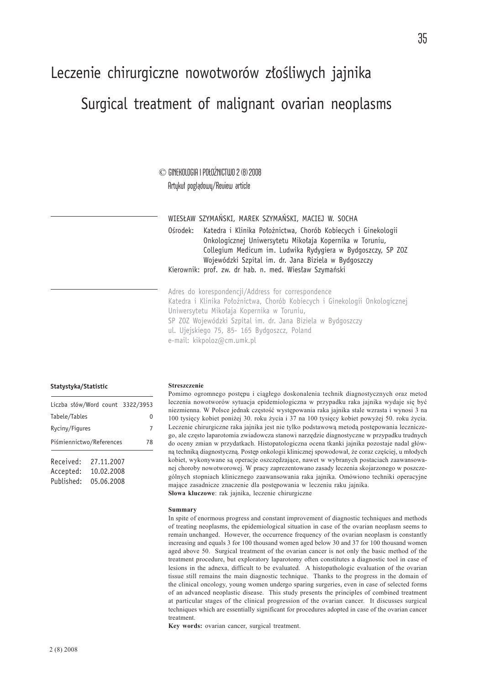# Leczenie chirurgiczne nowotworów złośliwych jajnika

# Surgical treatment of malignant ovarian neoplasms

© GINEKOLOGIA I POŁOŻNICTWO 2 (8) 2008 Artykuł poglądowy/Review article

WIESŁAW SZYMAŃSKI, MAREK SZYMAŃSKI, MACIEJ W. SOCHA Ośrodek: Katedra i Klinika Położnictwa, Chorób Kobiecych i Ginekologii Onkologicznej Uniwersytetu Mikołaja Kopernika w Toruniu, Collegium Medicum im. Ludwika Rydygiera w Bydgoszczy, SP ZOZ Wojewódzki Szpital im. dr. Jana Biziela w Bydgoszczy Kierownik: prof. zw. dr hab. n. med. Wiesław Szymański

Adres do korespondencji/Address for correspondence Katedra i Klinika Położnictwa, Chorób Kobiecych i Ginekologii Onkologicznej Uniwersytetu Mikołaja Kopernika w Toruniu, SP ZOZ Wojewódzki Szpital im. dr. Jana Biziela w Bydgoszczy ul. Ujejskiego 75, 85- 165 Bydgoszcz, Poland e-mail: kikpoloz@cm.umk.pl

#### **Statystyka/Statistic**

| Liczba słów/Word count 3322/3953 |            |    |
|----------------------------------|------------|----|
| Tabele/Tables                    | 0          |    |
| Ryciny/Figures                   |            | 7  |
| Piśmiennictwo/References         |            | 78 |
| Received:                        | 27.11.2007 |    |
| Accepted:                        | 10.02.2008 |    |
| Published:                       | 05.06.2008 |    |

#### Streszczenie

Pomimo ogromnego postępu i ciągłego doskonalenia technik diagnostycznych oraz metod leczenia nowotworów sytuacja epidemiologiczna w przypadku raka jajnika wydaje się być niezmienna. W Polsce jednak częstość występowania raka jajnika stale wzrasta i wynosi 3 na 100 tysięcy kobiet poniżej 30. roku życia i 37 na 100 tysięcy kobiet powyżej 50. roku życia. Leczenie chirurgiczne raka jajnika jest nie tylko podstawową metodą postępowania leczniczego, ale często laparotomia zwiadowcza stanowi narzędzie diagnostyczne w przypadku trudnych do oceny zmian w przydatkach. Histopatologiczna ocena tkanki jajnika pozostaje nadal główną techniką diagnostyczną. Postęp onkologii klinicznej spowodował, że coraz częściej, u młodych kobiet, wykonywane są operacje oszczędzające, nawet w wybranych postaciach zaawansowanej choroby nowotworowej. W pracy zaprezentowano zasady leczenia skojarzonego w poszczególnych stopniach klinicznego zaawansowania raka jajnika. Omówiono techniki operacyjne mające zasadnicze znaczenie dla postępowania w leczeniu raku jajnika. Słowa kluczowe: rak jajnika, leczenie chirurgiczne

#### Summary

In spite of enormous progress and constant improvement of diagnostic techniques and methods of treating neoplasms, the epidemiological situation in case of the ovarian neoplasm seems to remain unchanged. However, the occurrence frequency of the ovarian neoplasm is constantly increasing and equals 3 for 100 thousand women aged below 30 and 37 for 100 thousand women aged above 50. Surgical treatment of the ovarian cancer is not only the basic method of the treatment procedure, but exploratory laparotomy often constitutes a diagnostic tool in case of lesions in the adnexa, difficult to be evaluated. A histopathologic evaluation of the ovarian tissue still remains the main diagnostic technique. Thanks to the progress in the domain of the clinical oncology, young women undergo sparing surgeries, even in case of selected forms of an advanced neoplastic disease. This study presents the principles of combined treatment at particular stages of the clinical progression of the ovarian cancer. It discusses surgical techniques which are essentially significant for procedures adopted in case of the ovarian cancer treatment.

Key words: ovarian cancer, surgical treatment.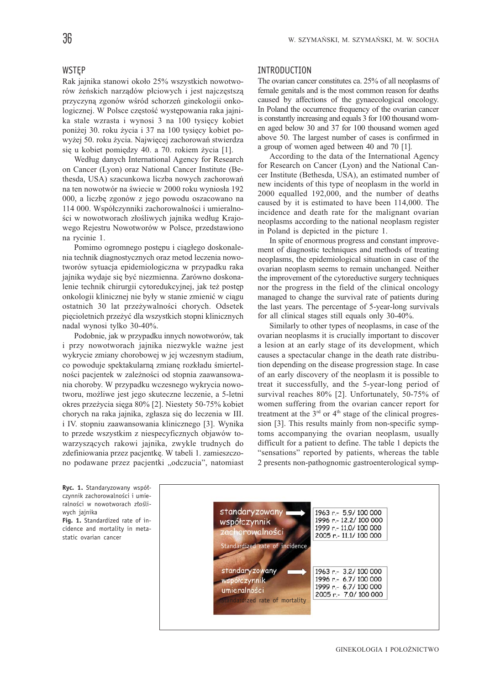# WSTEP

Rak jajnika stanowi około 25% wszystkich nowotworów żeńskich narządów płciowych i jest najczęstszą przyczyną zgonów wśród schorzeń ginekologii onkologicznej. W Polsce częstość występowania raka jajnika stale wzrasta i wynosi 3 na 100 tysięcy kobiet poniżej 30. roku życia i 37 na 100 tysięcy kobiet powyżej 50. roku życia. Najwięcej zachorowań stwierdza się u kobiet pomiędzy 40. a 70. rokiem życia [1].

Według danych International Agency for Research on Cancer (Lyon) oraz National Cancer Institute (Bethesda, USA) szacunkowa liczba nowych zachorowań na ten nowotwór na świecie w 2000 roku wyniosła 192 000, a liczbę zgonów z jego powodu oszacowano na 114 000. Współczynniki zachorowalności i umieralności w nowotworach złośliwych jajnika według Krajowego Rejestru Nowotworów w Polsce, przedstawiono na rycinie 1.

Pomimo ogromnego postępu i ciągłego doskonalenia technik diagnostycznych oraz metod leczenia nowotworów sytuacja epidemiologiczna w przypadku raka jajnika wydaje się być niezmienna. Zarówno doskonalenie technik chirurgii cytoredukcyjnej, jak też postęp onkologii klinicznej nie były w stanie zmienić w ciągu ostatnich 30 lat przeżywalności chorych. Odsetek pięcioletnich przeżyć dla wszystkich stopni klinicznych nadal wynosi tylko 30-40%.

Podobnie, jak w przypadku innych nowotworów, tak i przy nowotworach jajnika niezwykle ważne jest wykrycie zmiany chorobowej w jej wczesnym stadium, co powoduje spektakularną zmianę rozkładu śmiertelności pacjentek w zależności od stopnia zaawansowania choroby. W przypadku wczesnego wykrycia nowotworu, możliwe jest jego skuteczne leczenie, a 5-letni okres przeżycia sięga 80% [2]. Niestety 50-75% kobiet chorych na raka jajnika, zgłasza się do leczenia w III. i IV. stopniu zaawansowania klinicznego [3]. Wynika to przede wszystkim z niespecyficznych objawów towarzyszących rakowi jajnika, zwykle trudnych do zdefiniowania przez pacjentkę. W tabeli 1. zamieszczono podawane przez pacjentki "odczucia", natomiast

#### INTRODUCTION

The ovarian cancer constitutes ca. 25% of all neoplasms of female genitals and is the most common reason for deaths caused by affections of the gynaecological oncology. In Poland the occurrence frequency of the ovarian cancer is constantly increasing and equals 3 for 100 thousand women aged below 30 and 37 for 100 thousand women aged above 50. The largest number of cases is confirmed in a group of women aged between 40 and 70 [1].

According to the data of the International Agency for Research on Cancer (Lyon) and the National Cancer Institute (Bethesda, USA), an estimated number of new incidents of this type of neoplasm in the world in 2000 equalled 192,000, and the number of deaths caused by it is estimated to have been 114,000. The incidence and death rate for the malignant ovarian neoplasms according to the national neoplasm register in Poland is depicted in the picture 1.

In spite of enormous progress and constant improvement of diagnostic techniques and methods of treating neoplasms, the epidemiological situation in case of the ovarian neoplasm seems to remain unchanged. Neither the improvement of the cytoreductive surgery techniques nor the progress in the field of the clinical oncology managed to change the survival rate of patients during the last years. The percentage of 5-year-long survivals for all clinical stages still equals only 30-40%.

Similarly to other types of neoplasms, in case of the ovarian neoplasms it is crucially important to discover a lesion at an early stage of its development, which causes a spectacular change in the death rate distribution depending on the disease progression stage. In case of an early discovery of the neoplasm it is possible to treat it successfully, and the 5-year-long period of survival reaches 80% [2]. Unfortunately, 50-75% of women suffering from the ovarian cancer report for treatment at the  $3<sup>rd</sup>$  or  $4<sup>th</sup>$  stage of the clinical progression [3]. This results mainly from non-specific symptoms accompanying the ovarian neoplasm, usually difficult for a patient to define. The table 1 depicts the "sensations" reported by patients, whereas the table 2 presents non-pathognomic gastroenterological symp-

**Ryc. 1.** Standaryzowany współczynnik zachorowalności i umieralności w nowotworach złośliwych jajnika

**Fig. 1.** Standardized rate of incidence and mortality in metastatic ovarian cancer

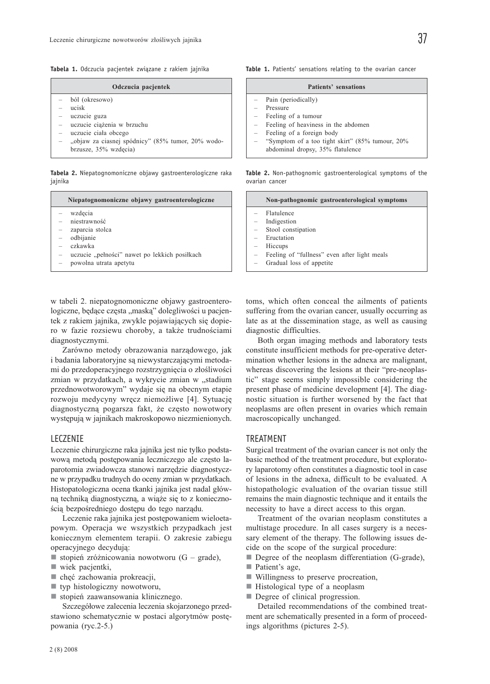**Tabela 1.** Odczucia pacjentek związane z rakiem jajnika

| Odczucia pacjentek |                                                                            |
|--------------------|----------------------------------------------------------------------------|
|                    | ból (okresowo)                                                             |
|                    | ucisk<br>- uczucie guza                                                    |
|                    | - uczucie ciążenia w brzuchu                                               |
|                    | uczucie ciała obcego                                                       |
|                    | "objaw za ciasnej spódnicy" (85% tumor, 20% wodo-<br>brzusze, 35% wzdęcia) |

**Tabela 2.** Niepatognomoniczne objawy gastroenterologiczne raka jajnika

| Niepatognomoniczne objawy gastroenterologiczne                                                                                                     | Non-pathognomic gastroenterological symptoms                                                                                                                                                                      |
|----------------------------------------------------------------------------------------------------------------------------------------------------|-------------------------------------------------------------------------------------------------------------------------------------------------------------------------------------------------------------------|
| wzdecia<br>niestrawność<br>zaparcia stolca<br>odbijanie<br>czkawka<br>uczucie "pełności" nawet po lekkich posiłkach<br>-<br>powolna utrata apetytu | Flatulence<br>Indigestion<br>Stool constipation<br>Eructation<br>$\overline{\phantom{0}}$<br>Hiccups<br>$\overline{\phantom{m}}$<br>Feeling of "fullness" even after light meals<br>Gradual loss of appetite<br>- |

w tabeli 2. niepatognomoniczne objawy gastroenterologiczne, będące częsta "maską" dolegliwości u pacjentek z rakiem jajnika, zwykle pojawiających się dopiero w fazie rozsiewu choroby, a także trudnościami diagnostycznymi.

Zarówno metody obrazowania narządowego, jak i badania laboratoryjne są niewystarczającymi metodami do przedoperacyjnego rozstrzygnięcia o złośliwości zmian w przydatkach, a wykrycie zmian w "stadium przednowotworowym" wydaje się na obecnym etapie rozwoju medycyny wręcz niemożliwe [4]. Sytuację diagnostyczną pogarsza fakt, że często nowotwory występują w jajnikach makroskopowo niezmienionych.

#### LECZENIE

Leczenie chirurgiczne raka jajnika jest nie tylko podstawową metodą postępowania leczniczego ale często laparotomia zwiadowcza stanowi narzędzie diagnostyczne w przypadku trudnych do oceny zmian w przydatkach. Histopatologiczna ocena tkanki jajnika jest nadal główną techniką diagnostyczną, a wiąże się to z koniecznością bezpośredniego dostępu do tego narządu.

Leczenie raka jajnika jest postępowaniem wieloetapowym. Operacja we wszystkich przypadkach jest koniecznym elementem terapii. O zakresie zabiegu operacyjnego decydują:

- stopień zróżnicowania nowotworu  $(G grade)$ ,
- $\blacksquare$  wiek pacjentki,
- chęć zachowania prokreacji,
- typ histologiczny nowotworu,
- stopień zaawansowania klinicznego.

Szczegółowe zalecenia leczenia skojarzonego przedstawiono schematycznie w postaci algorytmów postępowania (ryc.2-5.)

| Patients' sensations |
|----------------------|
|                      |

- Pain (periodically)
- Pressure
- Feeling of a tumour
- Feeling of heaviness in the abdomen
- Feeling of a foreign body
- "Symptom of a too tight skirt" (85% tumour, 20% abdominal dropsy, 35% flatulence

**Table 2.** Non-pathognomic gastroenterological symptoms of the ovarian cancer

toms, which often conceal the ailments of patients suffering from the ovarian cancer, usually occurring as late as at the dissemination stage, as well as causing diagnostic difficulties.

Both organ imaging methods and laboratory tests constitute insufficient methods for pre-operative determination whether lesions in the adnexa are malignant, whereas discovering the lesions at their "pre-neoplastic" stage seems simply impossible considering the present phase of medicine development [4]. The diagnostic situation is further worsened by the fact that neoplasms are often present in ovaries which remain macroscopically unchanged.

#### TREATMENT

Surgical treatment of the ovarian cancer is not only the basic method of the treatment procedure, but exploratory laparotomy often constitutes a diagnostic tool in case of lesions in the adnexa, difficult to be evaluated. A histopathologic evaluation of the ovarian tissue still remains the main diagnostic technique and it entails the necessity to have a direct access to this organ.

Treatment of the ovarian neoplasm constitutes a multistage procedure. In all cases surgery is a necessary element of the therapy. The following issues decide on the scope of the surgical procedure:

Degree of the neoplasm differentiation (G-grade),

- Patient's age,
- Willingness to preserve procreation,
- Histological type of a neoplasm
- Degree of clinical progression.

Detailed recommendations of the combined treatment are schematically presented in a form of proceedings algorithms (pictures 2-5).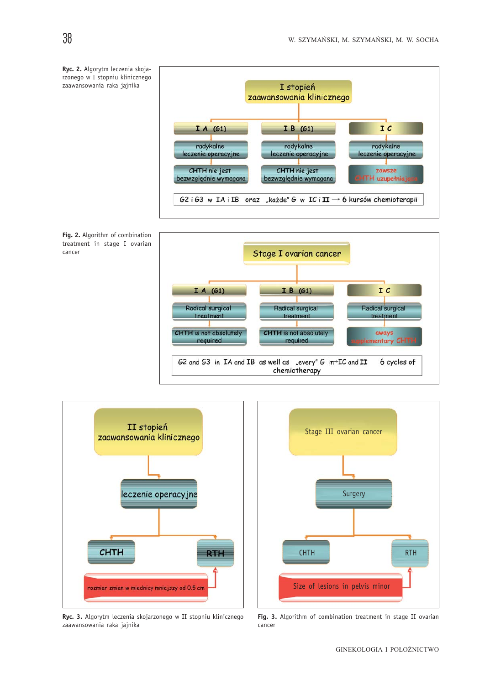





**Ryc. 3.** Algorytm leczenia skojarzonego w II stopniu klinicznego zaawansowania raka jajnika



**Fig. 3.** Algorithm of combination treatment in stage II ovarian cancer

cancer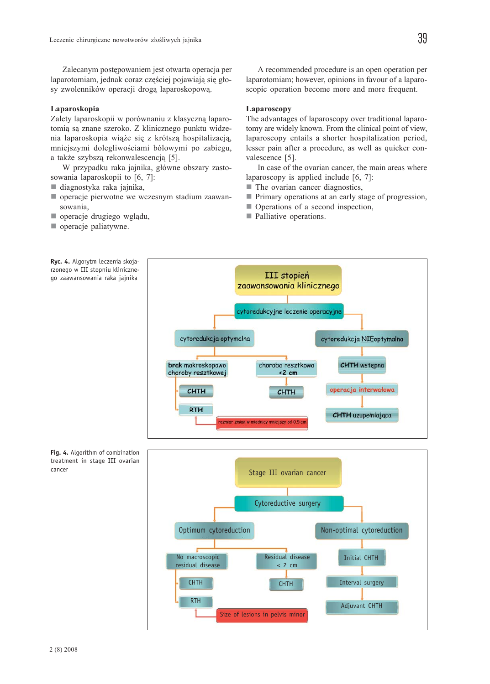Zalecanym postępowaniem jest otwarta operacja per laparotomiam, jednak coraz częściej pojawiają się głosy zwolenników operacji drogą laparoskopową.

#### Laparoskopia

Zalety laparoskopii w porównaniu z klasyczną laparotomią są znane szeroko. Z klinicznego punktu widzenia laparoskopia wiąże się z krótszą hospitalizacją, mniejszymi dolegliwościami bólowymi po zabiegu, a także szybszą rekonwalescencją [5].

W przypadku raka jajnika, główne obszary zastosowania laparoskopii to [6, 7]:

- diagnostyka raka jajnika,
- operacje pierwotne we wczesnym stadium zaawansowania,
- operacje drugiego wglądu,
- operacje paliatywne.

A recommended procedure is an open operation per laparotomiam; however, opinions in favour of a laparoscopic operation become more and more frequent.

#### Laparoscopy

The advantages of laparoscopy over traditional laparotomy are widely known. From the clinical point of view, laparoscopy entails a shorter hospitalization period, lesser pain after a procedure, as well as quicker convalescence [5].

In case of the ovarian cancer, the main areas where laparoscopy is applied include [6, 7]:

- **The ovarian cancer diagnostics,**
- **Primary operations at an early stage of progression,**
- Operations of a second inspection,
- **Palliative operations.**





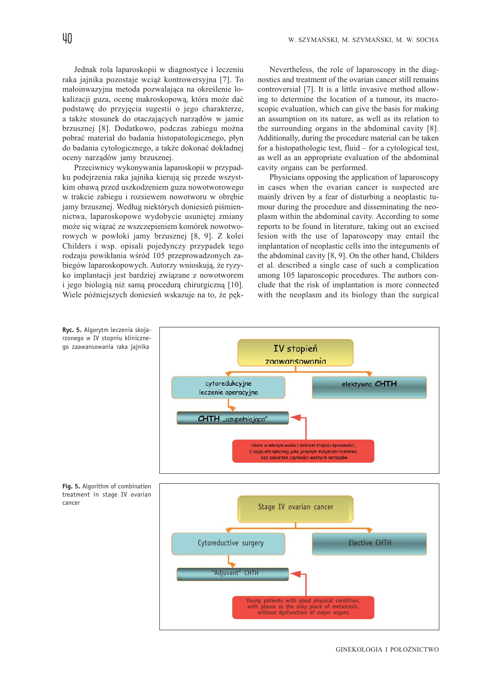Jednak rola laparoskopii w diagnostyce i leczeniu raka jajnika pozostaje wciąż kontrowersyjna [7]. To małoinwazyjna metoda pozwalająca na określenie lokalizacji guza, ocenę makroskopową, która może dać podstawę do przyjęcia sugestii o jego charakterze, a także stosunek do otaczających narządów w jamie brzusznej [8]. Dodatkowo, podczas zabiegu można pobrać materiał do badania histopatologicznego, płyn do badania cytologicznego, a także dokonać dokładnej oceny narządów jamy brzusznej.

Przeciwnicy wykonywania laparoskopii w przypadku podejrzenia raka jajnika kierują się przede wszystkim obawą przed uszkodzeniem guza nowotworowego w trakcie zabiegu i rozsiewem nowotworu w obrębie jamy brzusznej. Według niektórych doniesień piśmiennictwa, laparoskopowe wydobycie usuniętej zmiany może się wiązać ze wszczepieniem komórek nowotworowych w powłoki jamy brzusznej [8, 9]. Z kolei Childers i wsp. opisali pojedynczy przypadek tego rodzaju powikłania wśród 105 przeprowadzonych zabiegów laparoskopowych. Autorzy wnioskują, że ryzyko implantacji jest bardziej związane z nowotworem i jego biologią niż samą procedurą chirurgiczną [10]. Wiele późniejszych doniesień wskazuje na to, że pęk-

Nevertheless, the role of laparoscopy in the diagnostics and treatment of the ovarian cancer still remains controversial [7]. It is a little invasive method allowing to determine the location of a tumour, its macroscopic evaluation, which can give the basis for making an assumption on its nature, as well as its relation to the surrounding organs in the abdominal cavity [8]. Additionally, during the procedure material can be taken for a histopathologic test, fluid – for a cytological test, as well as an appropriate evaluation of the abdominal cavity organs can be performed.

Physicians opposing the application of laparoscopy in cases when the ovarian cancer is suspected are mainly driven by a fear of disturbing a neoplastic tumour during the procedure and disseminating the neoplasm within the abdominal cavity. According to some reports to be found in literature, taking out an excised lesion with the use of laparoscopy may entail the implantation of neoplastic cells into the integuments of the abdominal cavity [8, 9]. On the other hand, Childers et al. described a single case of such a complication among 105 laparoscopic procedures. The authors conclude that the risk of implantation is more connected with the neoplasm and its biology than the surgical



#### GINEKOLOGIA I POŁOŻNICTWO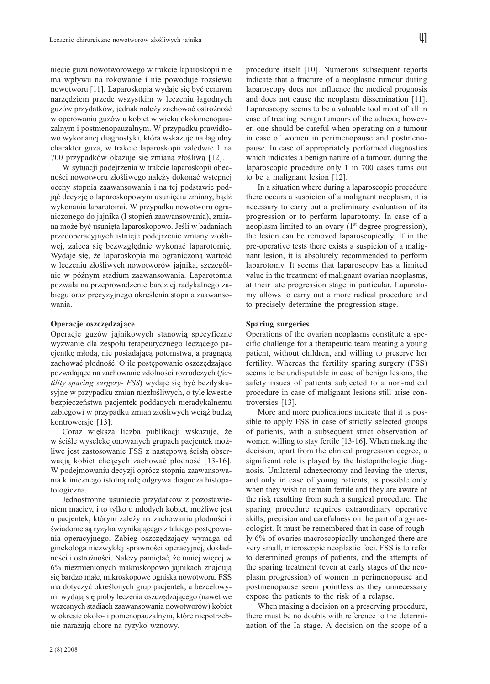nięcie guza nowotworowego w trakcie laparoskopii nie ma wpływu na rokowanie i nie powoduje rozsiewu nowotworu [11]. Laparoskopia wydaje się być cennym narzędziem przede wszystkim w leczeniu łagodnych guzów przydatków, jednak należy zachować ostrożność w operowaniu guzów u kobiet w wieku okołomenopauzalnym i postmenopauzalnym. W przypadku prawidłowo wykonanej diagnostyki, która wskazuje na łagodny charakter guza, w trakcie laparoskopii zaledwie 1 na 700 przypadków okazuje się zmianą złośliwą [12].

W sytuacji podejrzenia w trakcie laparoskopii obecności nowotworu złośliwego należy dokonać wstępnej oceny stopnia zaawansowania i na tej podstawie podjąć decyzję o laparoskopowym usunięciu zmiany, bądź wykonania laparotomii. W przypadku nowotworu ograniczonego do jajnika (I stopień zaawansowania), zmiana może być usunięta laparoskopowo. Jeśli w badaniach przedoperacyjnych istnieje podejrzenie zmiany złośliwej, zaleca się bezwzględnie wykonać laparotomię. Wydaje się, że laparoskopia ma ograniczoną wartość w leczeniu złośliwych nowotworów jajnika, szczególnie w późnym stadium zaawansowania. Laparotomia pozwala na przeprowadzenie bardziej radykalnego zabiegu oraz precyzyjnego określenia stopnia zaawansowania.

#### Operacje oszczędzające

Operacje guzów jajnikowych stanowią specyficzne wyzwanie dla zespołu terapeutycznego leczącego pacjentkę młodą, nie posiadającą potomstwa, a pragnącą zachować płodność. O ile postępowanie oszczędzające pozwalające na zachowanie zdolności rozrodczych (fertility sparing surgery- FSS) wydaje się być bezdyskusyjne w przypadku zmian niezłośliwych, o tyle kwestie bezpieczeństwa pacjentek poddanych nieradykalnemu zabiegowi w przypadku zmian złośliwych wciąż budzą kontrowersje [13].

Coraz większa liczba publikacji wskazuje, że w ściśle wyselekcjonowanych grupach pacjentek możliwe jest zastosowanie FSS z następową ścisłą obserwacją kobiet chcących zachować płodność [13-16]. W podejmowaniu decyzji oprócz stopnia zaawansowania klinicznego istotną rolę odgrywa diagnoza histopatologiczna.

Jednostronne usunięcie przydatków z pozostawieniem macicy, i to tylko u młodych kobiet, możliwe jest u pacjentek, którym zależy na zachowaniu płodności i świadome są ryzyka wynikającego z takiego postępowania operacyjnego. Zabieg oszczędzający wymaga od ginekologa niezwykłej sprawności operacyjnej, dokładności i ostrożności. Należy pamiętać, że mniej więcej w 6% niezmienionych makroskopowo jajnikach znajdują się bardzo małe, mikroskopowe ogniska nowotworu. FSS ma dotyczyć określonych grup pacjentek, a bezcelowymi wydają się próby leczenia oszczędzającego (nawet we wczesnych stadiach zaawansowania nowotworów) kobiet w okresie około- i pomenopauzalnym, które niepotrzebnie narażają chore na ryzyko wznowy.

procedure itself [10]. Numerous subsequent reports indicate that a fracture of a neoplastic tumour during laparoscopy does not influence the medical prognosis and does not cause the neoplasm dissemination [11]. Laparoscopy seems to be a valuable tool most of all in case of treating benign tumours of the adnexa; however, one should be careful when operating on a tumour in case of women in perimenopause and postmenopause. In case of appropriately performed diagnostics which indicates a benign nature of a tumour, during the laparoscopic procedure only 1 in 700 cases turns out to be a malignant lesion [12].

In a situation where during a laparoscopic procedure there occurs a suspicion of a malignant neoplasm, it is necessary to carry out a preliminary evaluation of its progression or to perform laparotomy. In case of a neoplasm limited to an ovary (1<sup>st</sup> degree progression), the lesion can be removed laparoscopically. If in the pre-operative tests there exists a suspicion of a malignant lesion, it is absolutely recommended to perform laparotomy. It seems that laparoscopy has a limited value in the treatment of malignant ovarian neoplasms, at their late progression stage in particular. Laparotomy allows to carry out a more radical procedure and to precisely determine the progression stage.

#### Sparing surgeries

Operations of the ovarian neoplasms constitute a specific challenge for a therapeutic team treating a young patient, without children, and willing to preserve her fertility. Whereas the fertility sparing surgery (FSS) seems to be undisputable in case of benign lesions, the safety issues of patients subjected to a non-radical procedure in case of malignant lesions still arise controversies [13].

More and more publications indicate that it is possible to apply FSS in case of strictly selected groups of patients, with a subsequent strict observation of women willing to stay fertile [13-16]. When making the decision, apart from the clinical progression degree, a significant role is played by the histopathologic diagnosis. Unilateral adnexectomy and leaving the uterus, and only in case of young patients, is possible only when they wish to remain fertile and they are aware of the risk resulting from such a surgical procedure. The sparing procedure requires extraordinary operative skills, precision and carefulness on the part of a gynaecologist. It must be remembered that in case of roughly 6% of ovaries macroscopically unchanged there are very small, microscopic neoplastic foci. FSS is to refer to determined groups of patients, and the attempts of the sparing treatment (even at early stages of the neoplasm progression) of women in perimenopause and postmenopause seem pointless as they unnecessary expose the patients to the risk of a relapse.

When making a decision on a preserving procedure, there must be no doubts with reference to the determination of the Ia stage. A decision on the scope of a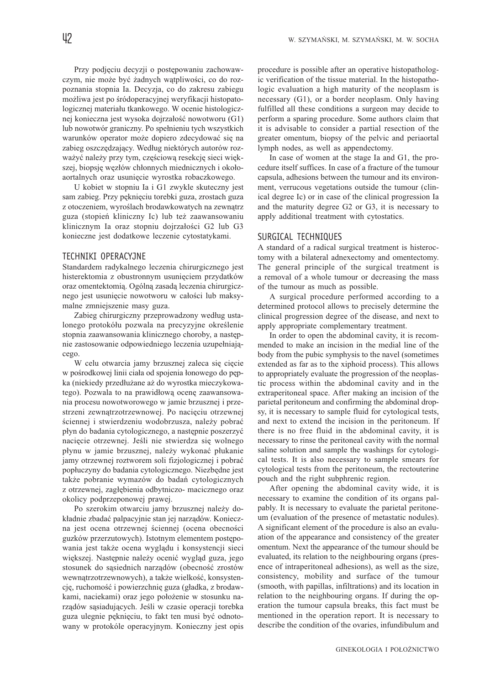Przy podjęciu decyzji o postępowaniu zachowawczym, nie może być żadnych wątpliwości, co do rozpoznania stopnia Ia. Decyzja, co do zakresu zabiegu możliwa jest po śródoperacyjnej weryfikacji histopatologicznej materiału tkankowego. W ocenie histologicznej konieczna jest wysoka dojrzałość nowotworu (G1) lub nowotwór graniczny. Po spełnieniu tych wszystkich warunków operator może dopiero zdecydować się na zabieg oszczędzający. Według niektórych autorów rozważyć należy przy tym, częściową resekcję sieci większej, biopsję węzłów chłonnych miednicznych i okołoaortalnych oraz usunięcie wyrostka robaczkowego.

U kobiet w stopniu Ia i G1 zwykle skuteczny jest sam zabieg. Przy pęknięciu torebki guza, zrostach guza z otoczeniem, wyroślach brodawkowatych na zewnątrz guza (stopień kliniczny Ic) lub też zaawansowaniu klinicznym Ia oraz stopniu dojrzałości G2 lub G3 konieczne jest dodatkowe leczenie cytostatykami.

#### TECHNIKI OPERACYJNE

Standardem radykalnego leczenia chirurgicznego jest histerektomia z obustronnym usunięciem przydatków oraz omentektomią. Ogólną zasadą leczenia chirurgicznego jest usunięcie nowotworu w całości lub maksymalne zmniejszenie masy guza.

Zabieg chirurgiczny przeprowadzony według ustalonego protokółu pozwala na precyzyjne określenie stopnia zaawansowania klinicznego choroby, a następnie zastosowanie odpowiedniego leczenia uzupełniającego.

W celu otwarcia jamy brzusznej zaleca się cięcie w pośrodkowej linii ciała od spojenia łonowego do pępka (niekiedy przedłużane aż do wyrostka mieczykowatego). Pozwala to na prawidłową ocenę zaawansowania procesu nowotworowego w jamie brzusznej i przestrzeni zewnątrzotrzewnowej. Po nacięciu otrzewnej ściennej i stwierdzeniu wodobrzusza, należy pobrać płyn do badania cytologicznego, a następnie poszerzyć nacięcie otrzewnej. Jeśli nie stwierdza się wolnego płynu w jamie brzusznej, należy wykonać płukanie jamy otrzewnej roztworem soli fizjologicznej i pobrać popłuczyny do badania cytologicznego. Niezbędne jest także pobranie wymazów do badań cytologicznych z otrzewnej, zagłębienia odbytniczo- macicznego oraz okolicy podprzeponowej prawej.

Po szerokim otwarciu jamy brzusznej należy dokładnie zbadać palpacyjnie stan jej narządów. Konieczna jest ocena otrzewnej ściennej (ocena obecności guzków przerzutowych). Istotnym elementem postępowania jest także ocena wyglądu i konsystencji sieci większej. Następnie należy ocenić wygląd guza, jego stosunek do sąsiednich narządów (obecność zrostów wewnątrzotrzewnowych), a także wielkość, konsystencję, ruchomość i powierzchnię guza (gładka, z brodawkami, naciekami) oraz jego położenie w stosunku narządów sąsiadujących. Jeśli w czasie operacji torebka guza ulegnie pęknięciu, to fakt ten musi być odnotowany w protokóle operacyjnym. Konieczny jest opis procedure is possible after an operative histopathologic verification of the tissue material. In the histopathologic evaluation a high maturity of the neoplasm is necessary (G1), or a border neoplasm. Only having fulfilled all these conditions a surgeon may decide to perform a sparing procedure. Some authors claim that it is advisable to consider a partial resection of the greater omentum, biopsy of the pelvic and periaortal lymph nodes, as well as appendectomy.

In case of women at the stage Ia and G1, the procedure itself suffices. In case of a fracture of the tumour capsula, adhesions between the tumour and its environment, verrucous vegetations outside the tumour (clinical degree Ic) or in case of the clinical progression Ia and the maturity degree G2 or G3, it is necessary to apply additional treatment with cytostatics.

# SURGICAL TECHNIQUES

A standard of a radical surgical treatment is histeroctomy with a bilateral adnexectomy and omentectomy. The general principle of the surgical treatment is a removal of a whole tumour or decreasing the mass of the tumour as much as possible.

A surgical procedure performed according to a determined protocol allows to precisely determine the clinical progression degree of the disease, and next to apply appropriate complementary treatment.

In order to open the abdominal cavity, it is recommended to make an incision in the medial line of the body from the pubic symphysis to the navel (sometimes extended as far as to the xiphoid process). This allows to appropriately evaluate the progression of the neoplastic process within the abdominal cavity and in the extraperitoneal space. After making an incision of the parietal peritoneum and confirming the abdominal dropsy, it is necessary to sample fluid for cytological tests, and next to extend the incision in the peritoneum. If there is no free fluid in the abdominal cavity, it is necessary to rinse the peritoneal cavity with the normal saline solution and sample the washings for cytological tests. It is also necessary to sample smears for cytological tests from the peritoneum, the rectouterine pouch and the right subphrenic region.

After opening the abdominal cavity wide, it is necessary to examine the condition of its organs palpably. It is necessary to evaluate the parietal peritoneum (evaluation of the presence of metastatic nodules). A significant element of the procedure is also an evaluation of the appearance and consistency of the greater omentum. Next the appearance of the tumour should be evaluated, its relation to the neighbouring organs (presence of intraperitoneal adhesions), as well as the size, consistency, mobility and surface of the tumour (smooth, with papillas, infiltrations) and its location in relation to the neighbouring organs. If during the operation the tumour capsula breaks, this fact must be mentioned in the operation report. It is necessary to describe the condition of the ovaries, infundibulum and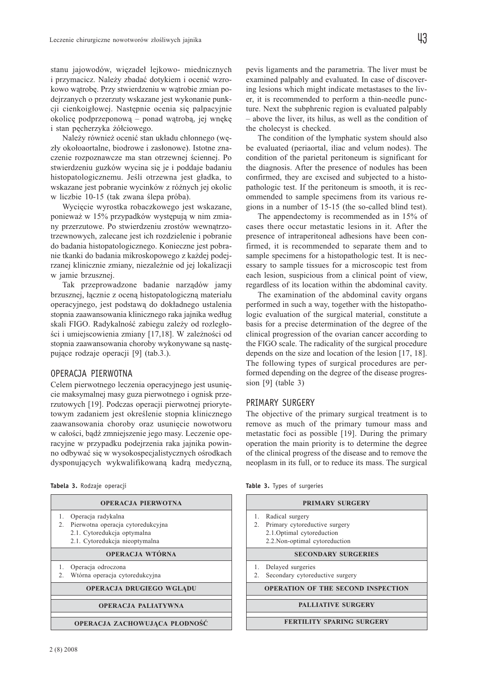stanu jajowodów, więzadeł lejkowo- miednicznych i przymacicz. Należy zbadać dotykiem i ocenić wzrokowo wątrobę. Przy stwierdzeniu w wątrobie zmian podejrzanych o przerzuty wskazane jest wykonanie punkcji cienkoigłowej. Następnie ocenia się palpacyjnie okolicę podprzeponową – ponad wątrobą, jej wnękę i stan pęcherzyka żółciowego.

Należy również ocenić stan układu chłonnego (węzły okołoaortalne, biodrowe i zasłonowe). Istotne znaczenie rozpoznawcze ma stan otrzewnej ściennej. Po stwierdzeniu guzków wycina się je i poddaje badaniu histopatologicznemu. Jeśli otrzewna jest gładka, to wskazane jest pobranie wycinków z różnych jej okolic w liczbie 10-15 (tak zwana ślepa próba).

Wycięcie wyrostka robaczkowego jest wskazane, ponieważ w 15% przypadków występują w nim zmiany przerzutowe. Po stwierdzeniu zrostów wewnątrzotrzewnowych, zalecane jest ich rozdzielenie i pobranie do badania histopatologicznego. Konieczne jest pobranie tkanki do badania mikroskopowego z każdej podejrzanej klinicznie zmiany, niezależnie od jej lokalizacji w jamie brzusznej.

Tak przeprowadzone badanie narządów jamy brzusznej, łącznie z oceną histopatologiczną materiału operacyjnego, jest podstawą do dokładnego ustalenia stopnia zaawansowania klinicznego raka jajnika według skali FIGO. Radykalność zabiegu zależy od rozległości i umiejscowienia zmiany [17,18]. W zależności od stopnia zaawansowania choroby wykonywane są następujące rodzaje operacji [9] (tab.3.).

# OPERACJA PIERWOTNA

Celem pierwotnego leczenia operacyjnego jest usunięcie maksymalnej masy guza pierwotnego i ognisk przerzutowych [19]. Podczas operacji pierwotnej priorytetowym zadaniem jest określenie stopnia klinicznego zaawansowania choroby oraz usunięcie nowotworu w całości, bądź zmniejszenie jego masy. Leczenie operacyjne w przypadku podejrzenia raka jajnika powinno odbywać się w wysokospecjalistycznych ośrodkach dysponujących wykwalifikowaną kadrą medyczną,

|  | Tabela 3. Rodzaje operacji |  |
|--|----------------------------|--|
|--|----------------------------|--|

|                 | <b>OPERACJA PIERWOTNA</b>         |
|-----------------|-----------------------------------|
| 1.              | Operacja radykalna                |
| 2.              | Pierwotna operacja cytoredukcyjna |
|                 | 2.1. Cytoredukcja optymalna       |
|                 | 2.1. Cytoredukcja nieoptymalna    |
| OPERACJA WTÓRNA |                                   |
| 1.              | Operacja odroczona                |
| 2.              | Wtórna operacja cytoredukcyjna    |
|                 | <b>OPERACJA DRUGIEGO WGLADU</b>   |
|                 | <b>OPERACJA PALIATYWNA</b>        |
|                 | OPERACJA ZACHOWUJĄCA PŁODNOŚĆ     |

ing lesions which might indicate metastases to the liver, it is recommended to perform a thin-needle puncture. Next the subphrenic region is evaluated palpably – above the liver, its hilus, as well as the condition of the cholecyst is checked.

The condition of the lymphatic system should also be evaluated (periaortal, iliac and velum nodes). The condition of the parietal peritoneum is significant for the diagnosis. After the presence of nodules has been confirmed, they are excised and subjected to a histopathologic test. If the peritoneum is smooth, it is recommended to sample specimens from its various regions in a number of 15-15 (the so-called blind test).

The appendectomy is recommended as in 15% of cases there occur metastatic lesions in it. After the presence of intraperitoneal adhesions have been confirmed, it is recommended to separate them and to sample specimens for a histopathologic test. It is necessary to sample tissues for a microscopic test from each lesion, suspicious from a clinical point of view, regardless of its location within the abdominal cavity.

The examination of the abdominal cavity organs performed in such a way, together with the histopathologic evaluation of the surgical material, constitute a basis for a precise determination of the degree of the clinical progression of the ovarian cancer according to the FIGO scale. The radicality of the surgical procedure depends on the size and location of the lesion [17, 18]. The following types of surgical procedures are performed depending on the degree of the disease progression [9] (table 3)

#### PRIMARY SURGERY

The objective of the primary surgical treatment is to remove as much of the primary tumour mass and metastatic foci as possible [19]. During the primary operation the main priority is to determine the degree of the clinical progress of the disease and to remove the neoplasm in its full, or to reduce its mass. The surgical

| <b>PRIMARY SURGERY</b>                    |  |  |
|-------------------------------------------|--|--|
| 1. Radical surgery                        |  |  |
| 2. Primary cytoreductive surgery          |  |  |
| 2.1. Optimal cytoreduction                |  |  |
| 2.2. Non-optimal cytoreduction            |  |  |
| <b>SECONDARY SURGERIES</b>                |  |  |
| 1. Delayed surgeries                      |  |  |
| 2. Secondary cytoreductive surgery        |  |  |
| <b>OPERATION OF THE SECOND INSPECTION</b> |  |  |
| <b>PALLIATIVE SURGERY</b>                 |  |  |
| <b>FERTILITY SPARING SURGERY</b>          |  |  |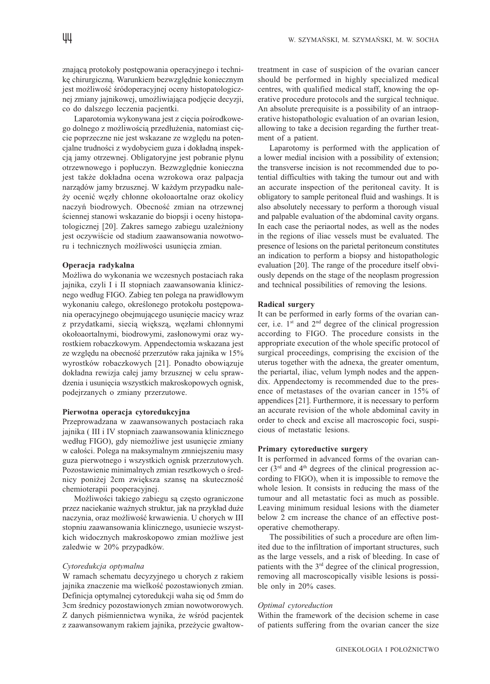znającą protokoły postępowania operacyjnego i technikę chirurgiczną. Warunkiem bezwzględnie koniecznym jest możliwość śródoperacyjnej oceny histopatologicznej zmiany jajnikowej, umożliwiająca podjęcie decyzji, co do dalszego leczenia pacjentki.

Laparotomia wykonywana jest z cięcia pośrodkowego dolnego z możliwością przedłużenia, natomiast cięcie poprzeczne nie jest wskazane ze względu na potencjalne trudności z wydobyciem guza i dokładną inspekcją jamy otrzewnej. Obligatoryjne jest pobranie płynu otrzewnowego i popłuczyn. Bezwzględnie konieczna jest także dokładna ocena wzrokowa oraz palpacja narządów jamy brzusznej. W każdym przypadku należy ocenić węzły chłonne okołoaortalne oraz okolicy naczyń biodrowych. Obecność zmian na otrzewnej ściennej stanowi wskazanie do biopsji i oceny histopatologicznej [20]. Zakres samego zabiegu uzależniony jest oczywiście od stadium zaawansowania nowotworu i technicznych możliwości usunięcia zmian.

#### Operacja radykalna

Możliwa do wykonania we wczesnych postaciach raka jajnika, czyli I i II stopniach zaawansowania klinicznego według FIGO. Zabieg ten polega na prawidłowym wykonaniu całego, określonego protokołu postępowania operacyjnego obejmującego usunięcie macicy wraz z przydatkami, siecią większą, węzłami chłonnymi okołoaortalnymi, biodrowymi, zasłonowymi oraz wyrostkiem robaczkowym. Appendectomia wskazana jest ze względu na obecność przerzutów raka jajnika w 15% wyrostków robaczkowych [21]. Ponadto obowiązuje dokładna rewizja całej jamy brzusznej w celu sprawdzenia i usunięcia wszystkich makroskopowych ognisk, podejrzanych o zmiany przerzutowe.

#### Pierwotna operacja cytoredukcyjna

Przeprowadzana w zaawansowanych postaciach raka jajnika ( III i IV stopniach zaawansowania klinicznego według FIGO), gdy niemożliwe jest usunięcie zmiany w całości. Polega na maksymalnym zmniejszeniu masy guza pierwotnego i wszystkich ognisk przerzutowych. Pozostawienie minimalnych zmian resztkowych o średnicy poniżej 2cm zwiększa szansę na skuteczność chemioterapii pooperacyjnej.

Możliwości takiego zabiegu są często ograniczone przez naciekanie ważnych struktur, jak na przykład duże naczynia, oraz możliwość krwawienia. U chorych w III stopniu zaawansowania klinicznego, usuniecie wszystkich widocznych makroskopowo zmian możliwe jest zaledwie w 20% przypadków.

#### Cytoredukcja optymalna

W ramach schematu decyzyjnego u chorych z rakiem jajnika znaczenie ma wielkość pozostawionych zmian. Definicja optymalnej cytoredukcji waha się od 5mm do 3cm średnicy pozostawionych zmian nowotworowych. Z danych piśmiennictwa wynika, że wśród pacjentek z zaawansowanym rakiem jajnika, przeżycie gwałtowtreatment in case of suspicion of the ovarian cancer should be performed in highly specialized medical centres, with qualified medical staff, knowing the operative procedure protocols and the surgical technique. An absolute prerequisite is a possibility of an intraoperative histopathologic evaluation of an ovarian lesion, allowing to take a decision regarding the further treatment of a patient.

Laparotomy is performed with the application of a lower medial incision with a possibility of extension; the transverse incision is not recommended due to potential difficulties with taking the tumour out and with an accurate inspection of the peritoneal cavity. It is obligatory to sample peritoneal fluid and washings. It is also absolutely necessary to perform a thorough visual and palpable evaluation of the abdominal cavity organs. In each case the periaortal nodes, as well as the nodes in the regions of iliac vessels must be evaluated. The presence of lesions on the parietal peritoneum constitutes an indication to perform a biopsy and histopathologic evaluation [20]. The range of the procedure itself obviously depends on the stage of the neoplasm progression and technical possibilities of removing the lesions.

### Radical surgery

It can be performed in early forms of the ovarian cancer, i.e.  $1<sup>st</sup>$  and  $2<sup>nd</sup>$  degree of the clinical progression according to FIGO. The procedure consists in the appropriate execution of the whole specific protocol of surgical proceedings, comprising the excision of the uterus together with the adnexa, the greater omentum, the periartal, iliac, velum lymph nodes and the appendix. Appendectomy is recommended due to the presence of metastases of the ovarian cancer in 15% of appendices [21]. Furthermore, it is necessary to perform an accurate revision of the whole abdominal cavity in order to check and excise all macroscopic foci, suspicious of metastatic lesions.

#### Primary cytoreductive surgery

It is performed in advanced forms of the ovarian cancer ( $3<sup>rd</sup>$  and  $4<sup>th</sup>$  degrees of the clinical progression according to FIGO), when it is impossible to remove the whole lesion. It consists in reducing the mass of the tumour and all metastatic foci as much as possible. Leaving minimum residual lesions with the diameter below 2 cm increase the chance of an effective postoperative chemotherapy.

The possibilities of such a procedure are often limited due to the infiltration of important structures, such as the large vessels, and a risk of bleeding. In case of patients with the 3rd degree of the clinical progression, removing all macroscopically visible lesions is possible only in 20% cases.

#### Optimal cytoreduction

Within the framework of the decision scheme in case of patients suffering from the ovarian cancer the size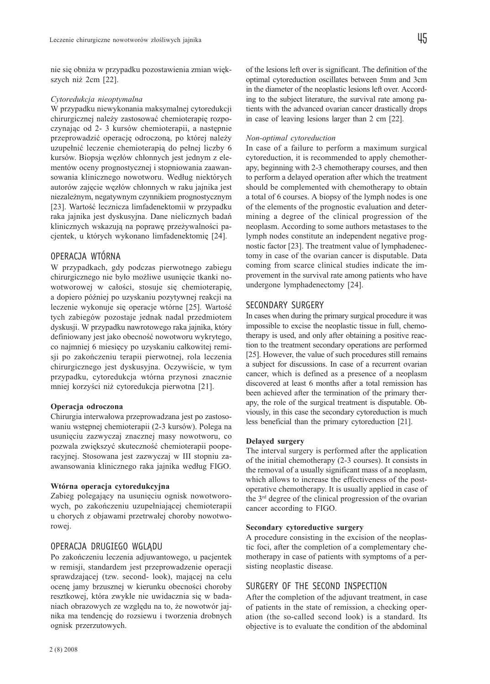nie się obniża w przypadku pozostawienia zmian większych niż 2cm [22].

### Cytoredukcja nieoptymalna

W przypadku niewykonania maksymalnej cytoredukcji chirurgicznej należy zastosować chemioterapię rozpoczynając od 2- 3 kursów chemioterapii, a następnie przeprowadzić operację odroczoną, po której należy uzupełnić leczenie chemioterapią do pełnej liczby 6 kursów. Biopsja węzłów chłonnych jest jednym z elementów oceny prognostycznej i stopniowania zaawansowania klinicznego nowotworu. Według niektórych autorów zajęcie węzłów chłonnych w raku jajnika jest niezależnym, negatywnym czynnikiem prognostycznym [23]. Wartość lecznicza limfadenektomii w przypadku raka jajnika jest dyskusyjna. Dane nielicznych badań klinicznych wskazują na poprawę przeżywalności pacjentek, u których wykonano limfadenektomię [24].

# OPERACJA WTÓRNA

W przypadkach, gdy podczas pierwotnego zabiegu chirurgicznego nie było możliwe usunięcie tkanki nowotworowej w całości, stosuje się chemioterapię, a dopiero później po uzyskaniu pozytywnej reakcji na leczenie wykonuje się operacje wtórne [25]. Wartość tych zabiegów pozostaje jednak nadal przedmiotem dyskusji. W przypadku nawrotowego raka jajnika, który definiowany jest jako obecność nowotworu wykrytego, co najmniej 6 miesięcy po uzyskaniu całkowitej remisji po zakończeniu terapii pierwotnej, rola leczenia chirurgicznego jest dyskusyjna. Oczywiście, w tym przypadku, cytoredukcja wtórna przynosi znacznie mniej korzyści niż cytoredukcja pierwotna [21].

#### Operacja odroczona

Chirurgia interwałowa przeprowadzana jest po zastosowaniu wstępnej chemioterapii (2-3 kursów). Polega na usunięciu zazwyczaj znacznej masy nowotworu, co pozwala zwiększyć skuteczność chemioterapii pooperacyjnej. Stosowana jest zazwyczaj w III stopniu zaawansowania klinicznego raka jajnika według FIGO.

# Wtórna operacja cytoredukcyjna

Zabieg polegający na usunięciu ognisk nowotworowych, po zakończeniu uzupełniającej chemioterapii u chorych z objawami przetrwałej choroby nowotworowej.

# OPERACJA DRUGIEGO WGLĄDU

Po zakończeniu leczenia adjuwantowego, u pacjentek w remisji, standardem jest przeprowadzenie operacji sprawdzającej (tzw. second- look), mającej na celu ocenę jamy brzusznej w kierunku obecności choroby resztkowej, która zwykle nie uwidacznia się w badaniach obrazowych ze względu na to, że nowotwór jajnika ma tendencję do rozsiewu i tworzenia drobnych ognisk przerzutowych.

of the lesions left over is significant. The definition of the optimal cytoreduction oscillates between 5mm and 3cm in the diameter of the neoplastic lesions left over. According to the subject literature, the survival rate among patients with the advanced ovarian cancer drastically drops in case of leaving lesions larger than 2 cm [22].

#### Non-optimal cytoreduction

In case of a failure to perform a maximum surgical cytoreduction, it is recommended to apply chemotherapy, beginning with 2-3 chemotherapy courses, and then to perform a delayed operation after which the treatment should be complemented with chemotherapy to obtain a total of 6 courses. A biopsy of the lymph nodes is one of the elements of the prognostic evaluation and determining a degree of the clinical progression of the neoplasm. According to some authors metastases to the lymph nodes constitute an independent negative prognostic factor [23]. The treatment value of lymphadenectomy in case of the ovarian cancer is disputable. Data coming from scarce clinical studies indicate the improvement in the survival rate among patients who have undergone lymphadenectomy [24].

# SECONDARY SURGERY

In cases when during the primary surgical procedure it was impossible to excise the neoplastic tissue in full, chemotherapy is used, and only after obtaining a positive reaction to the treatment secondary operations are performed [25]. However, the value of such procedures still remains a subject for discussions. In case of a recurrent ovarian cancer, which is defined as a presence of a neoplasm discovered at least 6 months after a total remission has been achieved after the termination of the primary therapy, the role of the surgical treatment is disputable. Obviously, in this case the secondary cytoreduction is much less beneficial than the primary cytoreduction [21].

#### Delayed surgery

The interval surgery is performed after the application of the initial chemotherapy (2-3 courses). It consists in the removal of a usually significant mass of a neoplasm, which allows to increase the effectiveness of the postoperative chemotherapy. It is usually applied in case of the  $3<sup>rd</sup>$  degree of the clinical progression of the ovarian cancer according to FIGO.

#### Secondary cytoreductive surgery

A procedure consisting in the excision of the neoplastic foci, after the completion of a complementary chemotherapy in case of patients with symptoms of a persisting neoplastic disease.

# SURGERY OF THE SECOND INSPECTION

After the completion of the adjuvant treatment, in case of patients in the state of remission, a checking operation (the so-called second look) is a standard. Its objective is to evaluate the condition of the abdominal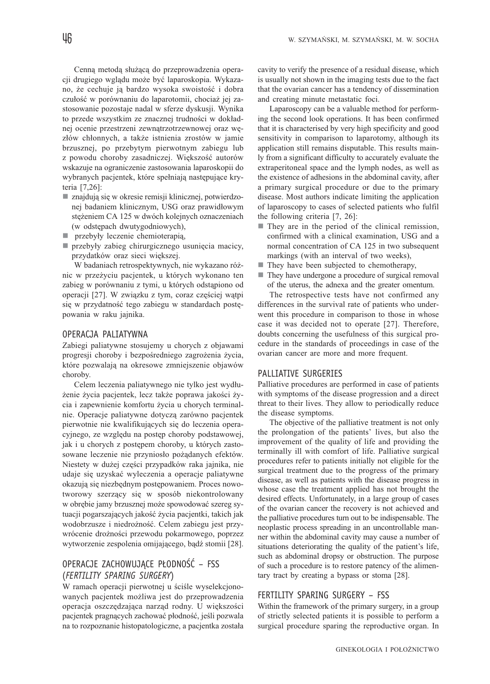Cenną metodą służącą do przeprowadzenia operacji drugiego wglądu może być laparoskopia. Wykazano, że cechuje ją bardzo wysoka swoistość i dobra czułość w porównaniu do laparotomii, chociaż jej zastosowanie pozostaje nadal w sferze dyskusji. Wynika to przede wszystkim ze znacznej trudności w dokładnej ocenie przestrzeni zewnątrzotrzewnowej oraz węzłów chłonnych, a także istnienia zrostów w jamie brzusznej, po przebytym pierwotnym zabiegu lub z powodu choroby zasadniczej. Większość autorów wskazuje na ograniczenie zastosowania laparoskopii do wybranych pacjentek, które spełniają następujące kryteria [7,26]:

- znajdują się w okresie remisji klinicznej, potwierdzonej badaniem klinicznym, USG oraz prawidłowym stężeniem CA 125 w dwóch kolejnych oznaczeniach (w odstępach dwutygodniowych),
- przebyły leczenie chemioterapią,
- przebyły zabieg chirurgicznego usunięcia macicy, przydatków oraz sieci większej.

W badaniach retrospektywnych, nie wykazano różnic w przeżyciu pacjentek, u których wykonano ten zabieg w porównaniu z tymi, u których odstąpiono od operacji [27]. W związku z tym, coraz częściej wątpi się w przydatność tego zabiegu w standardach postępowania w raku jajnika.

# OPERACJA PALIATYWNA

Zabiegi paliatywne stosujemy u chorych z objawami progresji choroby i bezpośredniego zagrożenia życia, które pozwalają na okresowe zmniejszenie objawów choroby.

Celem leczenia paliatywnego nie tylko jest wydłużenie życia pacjentek, lecz także poprawa jakości życia i zapewnienie komfortu życia u chorych terminalnie. Operacje paliatywne dotyczą zarówno pacjentek pierwotnie nie kwalifikujących się do leczenia operacyjnego, ze względu na postęp choroby podstawowej, jak i u chorych z postępem choroby, u których zastosowane leczenie nie przyniosło pożądanych efektów. Niestety w dużej części przypadków raka jajnika, nie udaje się uzyskać wyleczenia a operacje paliatywne okazują się niezbędnym postępowaniem. Proces nowotworowy szerzący się w sposób niekontrolowany w obrębie jamy brzusznej może spowodować szereg sytuacji pogarszających jakość życia pacjentki, takich jak wodobrzusze i niedrożność. Celem zabiegu jest przywrócenie drożności przewodu pokarmowego, poprzez wytworzenie zespolenia omijającego, bądź stomii [28].

# OPERACJE ZACHOWUJĄCE PŁODNOŚĆ – FSS (*FERTILITY SPARING SURGERY*)

W ramach operacji pierwotnej u ściśle wyselekcjonowanych pacjentek możliwa jest do przeprowadzenia operacja oszczędzająca narząd rodny. U większości pacjentek pragnących zachować płodność, jeśli pozwala na to rozpoznanie histopatologiczne, a pacjentka została

cavity to verify the presence of a residual disease, which is usually not shown in the imaging tests due to the fact that the ovarian cancer has a tendency of dissemination and creating minute metastatic foci.

Laparoscopy can be a valuable method for performing the second look operations. It has been confirmed that it is characterised by very high specificity and good sensitivity in comparison to laparotomy, although its application still remains disputable. This results mainly from a significant difficulty to accurately evaluate the extraperitoneal space and the lymph nodes, as well as the existence of adhesions in the abdominal cavity, after a primary surgical procedure or due to the primary disease. Most authors indicate limiting the application of laparoscopy to cases of selected patients who fulfil the following criteria [7, 26]:

- They are in the period of the clinical remission, confirmed with a clinical examination, USG and a normal concentration of CA 125 in two subsequent markings (with an interval of two weeks),
- They have been subjected to chemotherapy,
- They have undergone a procedure of surgical removal of the uterus, the adnexa and the greater omentum.

The retrospective tests have not confirmed any differences in the survival rate of patients who underwent this procedure in comparison to those in whose case it was decided not to operate [27]. Therefore, doubts concerning the usefulness of this surgical procedure in the standards of proceedings in case of the ovarian cancer are more and more frequent.

# PALLIATIVE SURGERIES

Palliative procedures are performed in case of patients with symptoms of the disease progression and a direct threat to their lives. They allow to periodically reduce the disease symptoms.

The objective of the palliative treatment is not only the prolongation of the patients' lives, but also the improvement of the quality of life and providing the terminally ill with comfort of life. Palliative surgical procedures refer to patients initially not eligible for the surgical treatment due to the progress of the primary disease, as well as patients with the disease progress in whose case the treatment applied has not brought the desired effects. Unfortunately, in a large group of cases of the ovarian cancer the recovery is not achieved and the palliative procedures turn out to be indispensable. The neoplastic process spreading in an uncontrollable manner within the abdominal cavity may cause a number of situations deteriorating the quality of the patient's life, such as abdominal dropsy or obstruction. The purpose of such a procedure is to restore patency of the alimentary tract by creating a bypass or stoma [28].

# FERTILITY SPARING SURGERY – FSS

Within the framework of the primary surgery, in a group of strictly selected patients it is possible to perform a surgical procedure sparing the reproductive organ. In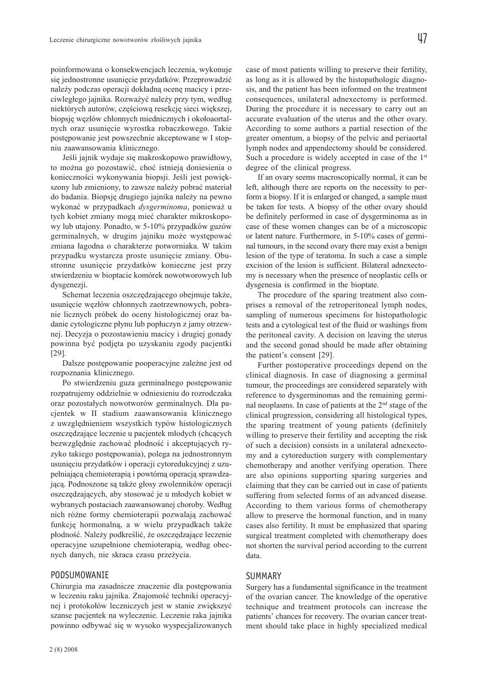poinformowana o konsekwencjach leczenia, wykonuje się jednostronne usunięcie przydatków. Przeprowadzić należy podczas operacji dokładną ocenę macicy i przeciwległego jajnika. Rozważyć należy przy tym, według niektórych autorów, częściową resekcję sieci większej, biopsję węzłów chłonnych miednicznych i okołoaortalnych oraz usunięcie wyrostka robaczkowego. Takie postępowanie jest powszechnie akceptowane w I stopniu zaawansowania klinicznego.

Jeśli jajnik wydaje się makroskopowo prawidłowy, to można go pozostawić, choć istnieją doniesienia o konieczności wykonywania biopsji. Jeśli jest powiększony lub zmieniony, to zawsze należy pobrać materiał do badania. Biopsję drugiego jajnika należy na pewno wykonać w przypadkach dysgerminoma, ponieważ u tych kobiet zmiany mogą mieć charakter mikroskopowy lub utajony. Ponadto, w 5-10% przypadków guzów germinalnych, w drugim jajniku może występować zmiana łagodna o charakterze potworniaka. W takim przypadku wystarcza proste usunięcie zmiany. Obustronne usunięcie przydatków konieczne jest przy stwierdzeniu w bioptacie komórek nowotworowych lub dysgenezji.

Schemat leczenia oszczędzającego obejmuje także, usunięcie węzłów chłonnych zaotrzewnowych, pobranie licznych próbek do oceny histologicznej oraz badanie cytologiczne płynu lub popłuczyn z jamy otrzewnej. Decyzja o pozostawieniu macicy i drugiej gonady powinna być podjęta po uzyskaniu zgody pacjentki [29].

Dalsze postępowanie pooperacyjne zależne jest od rozpoznania klinicznego.

Po stwierdzeniu guza germinalnego postępowanie rozpatrujemy oddzielnie w odniesieniu do rozrodczaka oraz pozostałych nowotworów germinalnych. Dla pacjentek w II stadium zaawansowania klinicznego z uwzględnieniem wszystkich typów histologicznych oszczędzające leczenie u pacjentek młodych (chcących bezwzględnie zachować płodność i akceptujących ryzyko takiego postępowania), polega na jednostronnym usunięciu przydatków i operacji cytoredukcyjnej z uzupełniającą chemioterapią i powtórną operacją sprawdzającą. Podnoszone są także głosy zwolenników operacji oszczędzających, aby stosować je u młodych kobiet w wybranych postaciach zaawansowanej choroby. Według nich różne formy chemioterapii pozwalają zachować funkcję hormonalną, a w wielu przypadkach także płodność. Należy podkreślić, że oszczędzające leczenie operacyjne uzupełnione chemioterapią, według obecnych danych, nie skraca czasu przeżycia.

#### PODSUMOWANIE

Chirurgia ma zasadnicze znaczenie dla postępowania w leczeniu raku jajnika. Znajomość techniki operacyjnej i protokołów leczniczych jest w stanie zwiększyć szanse pacjentek na wyleczenie. Leczenie raka jajnika powinno odbywać się w wysoko wyspecjalizowanych case of most patients willing to preserve their fertility, as long as it is allowed by the histopathologic diagnosis, and the patient has been informed on the treatment consequences, unilateral adnexectomy is performed. During the procedure it is necessary to carry out an accurate evaluation of the uterus and the other ovary. According to some authors a partial resection of the greater omentum, a biopsy of the pelvic and periaortal lymph nodes and appendectomy should be considered. Such a procedure is widely accepted in case of the 1<sup>st</sup> degree of the clinical progress.

If an ovary seems macroscopically normal, it can be left, although there are reports on the necessity to perform a biopsy. If it is enlarged or changed, a sample must be taken for tests. A biopsy of the other ovary should be definitely performed in case of dysgerminoma as in case of these women changes can be of a microscopic or latent nature. Furthermore, in 5-10% cases of germinal tumours, in the second ovary there may exist a benign lesion of the type of teratoma. In such a case a simple excision of the lesion is sufficient. Bilateral adnexectomy is necessary when the presence of neoplastic cells or dysgenesia is confirmed in the bioptate.

The procedure of the sparing treatment also comprises a removal of the retroperitoneal lymph nodes, sampling of numerous specimens for histopathologic tests and a cytological test of the fluid or washings from the peritoneal cavity. A decision on leaving the uterus and the second gonad should be made after obtaining the patient's consent [29].

Further postoperative proceedings depend on the clinical diagnosis. In case of diagnosing a germinal tumour, the proceedings are considered separately with reference to dysgerminomas and the remaining germinal neoplasms. In case of patients at the 2nd stage of the clinical progression, considering all histological types, the sparing treatment of young patients (definitely willing to preserve their fertility and accepting the risk of such a decision) consists in a unilateral adnexectomy and a cytoreduction surgery with complementary chemotherapy and another verifying operation. There are also opinions supporting sparing surgeries and claiming that they can be carried out in case of patients suffering from selected forms of an advanced disease. According to them various forms of chemotherapy allow to preserve the hormonal function, and in many cases also fertility. It must be emphasized that sparing surgical treatment completed with chemotherapy does not shorten the survival period according to the current data.

#### SUMMARY

Surgery has a fundamental significance in the treatment of the ovarian cancer. The knowledge of the operative technique and treatment protocols can increase the patients' chances for recovery. The ovarian cancer treatment should take place in highly specialized medical